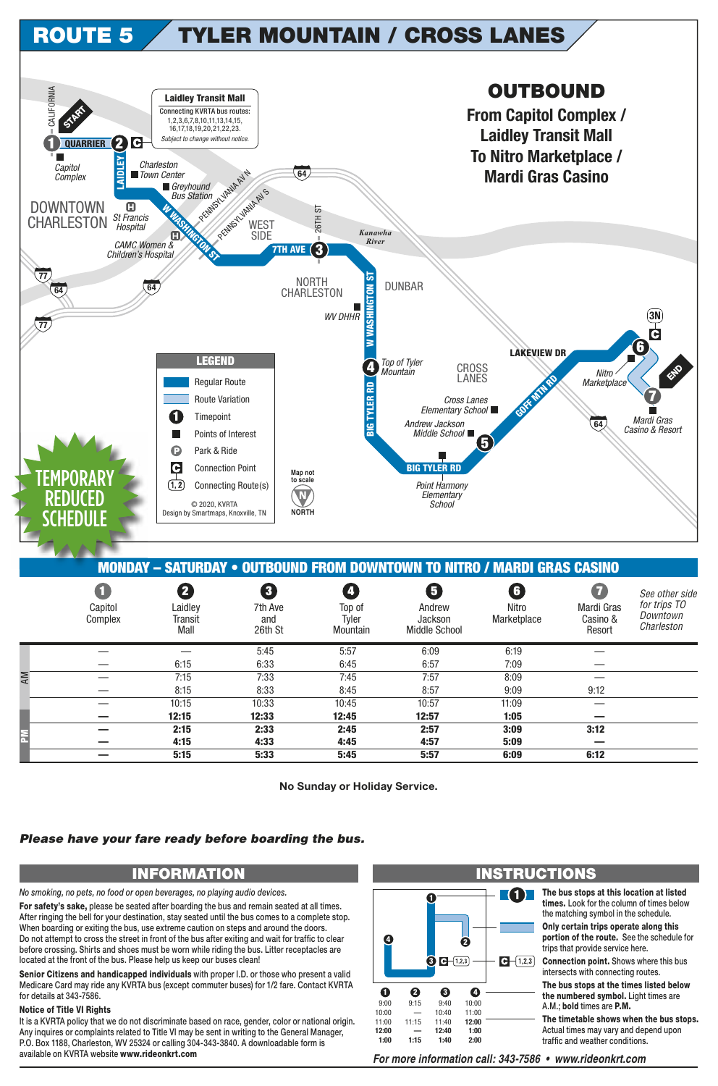## **TYLER MOUNTAIN / CROSS LANES ROUTE 5**



| <b>MONDAY - SATURDAY • OUTBOUND FROM DOWNTOWN TO NITRO / MARDI GRAS CASINO</b> |                                      |                                 |                                                      |                                                        |                                                |                           |                                              |                                                          |  |  |  |  |
|--------------------------------------------------------------------------------|--------------------------------------|---------------------------------|------------------------------------------------------|--------------------------------------------------------|------------------------------------------------|---------------------------|----------------------------------------------|----------------------------------------------------------|--|--|--|--|
|                                                                                | $\blacksquare$<br>Capitol<br>Complex | 2<br>Laidley<br>Transit<br>Mall | $\overline{\mathbf{3}}$<br>7th Ave<br>and<br>26th St | $\overline{\mathbf{A}}$<br>Top of<br>Tyler<br>Mountain | 6<br>Andrew<br>Jackson<br><b>Middle School</b> | G<br>Nitro<br>Marketplace | $\bf{Z}$<br>Mardi Gras<br>Casino &<br>Resort | See other side<br>for trips TO<br>Downtown<br>Charleston |  |  |  |  |
|                                                                                |                                      |                                 | 5:45                                                 | 5:57                                                   | 6:09                                           | 6:19                      |                                              |                                                          |  |  |  |  |
|                                                                                |                                      | 6:15                            | 6:33                                                 | 6:45                                                   | 6:57                                           | 7:09                      |                                              |                                                          |  |  |  |  |
|                                                                                |                                      | 7:15                            | 7:33                                                 | 7:45                                                   | 7:57                                           | 8:09                      |                                              |                                                          |  |  |  |  |
|                                                                                |                                      | 8:15                            | 8:33                                                 | 8:45                                                   | 8:57                                           | 9:09                      | 9:12                                         |                                                          |  |  |  |  |
|                                                                                |                                      | 10:15                           | 10:33                                                | 10:45                                                  | 10:57                                          | 11:09                     |                                              |                                                          |  |  |  |  |
|                                                                                |                                      | 12:15                           | 12:33                                                | 12:45                                                  | 12:57                                          | 1:05                      |                                              |                                                          |  |  |  |  |
|                                                                                |                                      | 2:15                            | 2:33                                                 | 2:45                                                   | 2:57                                           | 3:09                      | 3:12                                         |                                                          |  |  |  |  |
|                                                                                |                                      | 4:15                            | 4:33                                                 | 4:45                                                   | 4:57                                           | 5:09                      |                                              |                                                          |  |  |  |  |
|                                                                                |                                      | 5:15                            | 5:33                                                 | 5:45                                                   | 5:57                                           | 6:09                      | 6:12                                         |                                                          |  |  |  |  |

No Sunday or Holiday Service.

## Please have your fare ready before boarding the bus.

## **INFORMATION**

No smoking, no pets, no food or open beverages, no playing audio devices.

For safety's sake, please be seated after boarding the bus and remain seated at all times. After ringing the bell for your destination, stay seated until the bus comes to a complete stop. When boarding or exiting the bus, use extreme caution on steps and around the doors. Do not attempt to cross the street in front of the bus after exiting and wait for traffic to clear before crossing. Shirts and shoes must be worn while riding the bus. Litter receptacles are located at the front of the bus. Please help us keep our buses clean!

Senior Citizens and handicapped individuals with proper I.D. or those who present a valid Medicare Card may ride any KVRTA bus (except commuter buses) for 1/2 fare. Contact KVRTA for details at 343-7586.

## **Notice of Title VI Rights**

It is a KVRTA policy that we do not discriminate based on race, gender, color or national origin. Any inquires or complaints related to Title VI may be sent in writing to the General Manager, P.O. Box 1188, Charleston, WV 25324 or calling 304-343-3840. A downloadable form is available on KVRTA website www.rideonkrt.com



For more information call: 343-7586 • www.rideonkrt.com